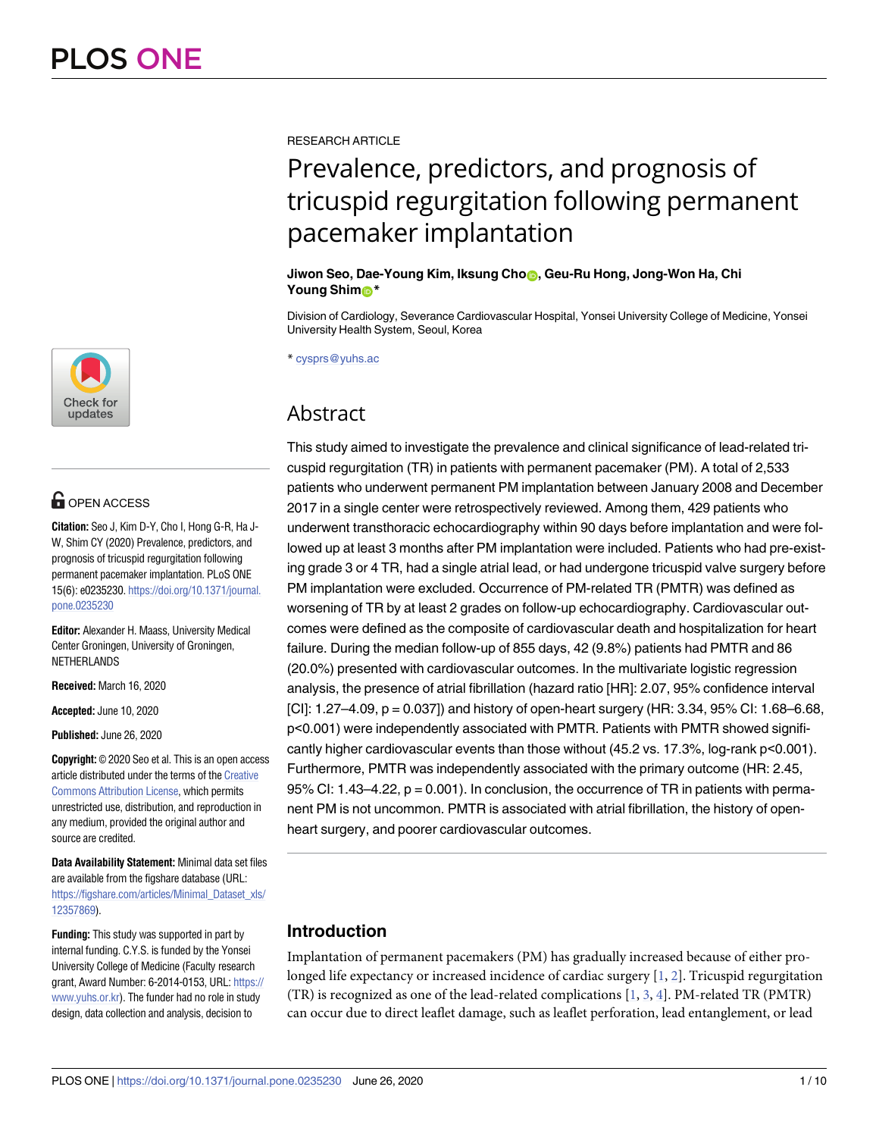

## **OPEN ACCESS**

**Citation:** Seo J, Kim D-Y, Cho I, Hong G-R, Ha J-W, Shim CY (2020) Prevalence, predictors, and prognosis of tricuspid regurgitation following permanent pacemaker implantation. PLoS ONE 15(6): e0235230. [https://doi.org/10.1371/journal.](https://doi.org/10.1371/journal.pone.0235230) [pone.0235230](https://doi.org/10.1371/journal.pone.0235230)

**Editor:** Alexander H. Maass, University Medical Center Groningen, University of Groningen, NETHERLANDS

**Received:** March 16, 2020

**Accepted:** June 10, 2020

**Published:** June 26, 2020

**Copyright:** © 2020 Seo et al. This is an open access article distributed under the terms of the [Creative](http://creativecommons.org/licenses/by/4.0/) [Commons](http://creativecommons.org/licenses/by/4.0/) Attribution License, which permits unrestricted use, distribution, and reproduction in any medium, provided the original author and source are credited.

**Data Availability Statement:** Minimal data set files are available from the figshare database (URL: [https://figshare.com/articles/Minimal\\_Dataset\\_xls/](https://figshare.com/articles/Minimal_Dataset_xls/12357869) [12357869](https://figshare.com/articles/Minimal_Dataset_xls/12357869)).

**Funding:** This study was supported in part by internal funding. C.Y.S. is funded by the Yonsei University College of Medicine (Faculty research grant, Award Number: 6-2014-0153, URL: [https://](https://www.yuhs.or.kr) [www.yuhs.or.kr](https://www.yuhs.or.kr)). The funder had no role in study design, data collection and analysis, decision to

<span id="page-0-0"></span>RESEARCH ARTICLE

# Prevalence, predictors, and prognosis of tricuspid regurgitation following permanent pacemaker implantation

## **Jiwon Seo, Dae-Young Kim, Iksung Cho<sub>ng</sub>, Geu-Ru Hong, Jong-Won Ha, Chi Young Shim**<sup>\*</sup>

Division of Cardiology, Severance Cardiovascular Hospital, Yonsei University College of Medicine, Yonsei University Health System, Seoul, Korea

\* cysprs@yuhs.ac

## Abstract

This study aimed to investigate the prevalence and clinical significance of lead-related tricuspid regurgitation (TR) in patients with permanent pacemaker (PM). A total of 2,533 patients who underwent permanent PM implantation between January 2008 and December 2017 in a single center were retrospectively reviewed. Among them, 429 patients who underwent transthoracic echocardiography within 90 days before implantation and were followed up at least 3 months after PM implantation were included. Patients who had pre-existing grade 3 or 4 TR, had a single atrial lead, or had undergone tricuspid valve surgery before PM implantation were excluded. Occurrence of PM-related TR (PMTR) was defined as worsening of TR by at least 2 grades on follow-up echocardiography. Cardiovascular outcomes were defined as the composite of cardiovascular death and hospitalization for heart failure. During the median follow-up of 855 days, 42 (9.8%) patients had PMTR and 86 (20.0%) presented with cardiovascular outcomes. In the multivariate logistic regression analysis, the presence of atrial fibrillation (hazard ratio [HR]: 2.07, 95% confidence interval [CI]: 1.27–4.09, p = 0.037]) and history of open-heart surgery (HR: 3.34, 95% CI: 1.68–6.68, p<0.001) were independently associated with PMTR. Patients with PMTR showed significantly higher cardiovascular events than those without (45.2 vs. 17.3%, log-rank p<0.001). Furthermore, PMTR was independently associated with the primary outcome (HR: 2.45, 95% CI: 1.43–4.22,  $p = 0.001$ ). In conclusion, the occurrence of TR in patients with permanent PM is not uncommon. PMTR is associated with atrial fibrillation, the history of openheart surgery, and poorer cardiovascular outcomes.

## **Introduction**

Implantation of permanent pacemakers (PM) has gradually increased because of either prolonged life expectancy or increased incidence of cardiac surgery [\[1](#page-8-0), [2](#page-8-0)]. Tricuspid regurgitation (TR) is recognized as one of the lead-related complications [[1,](#page-8-0) [3,](#page-8-0) [4\]](#page-8-0). PM-related TR (PMTR) can occur due to direct leaflet damage, such as leaflet perforation, lead entanglement, or lead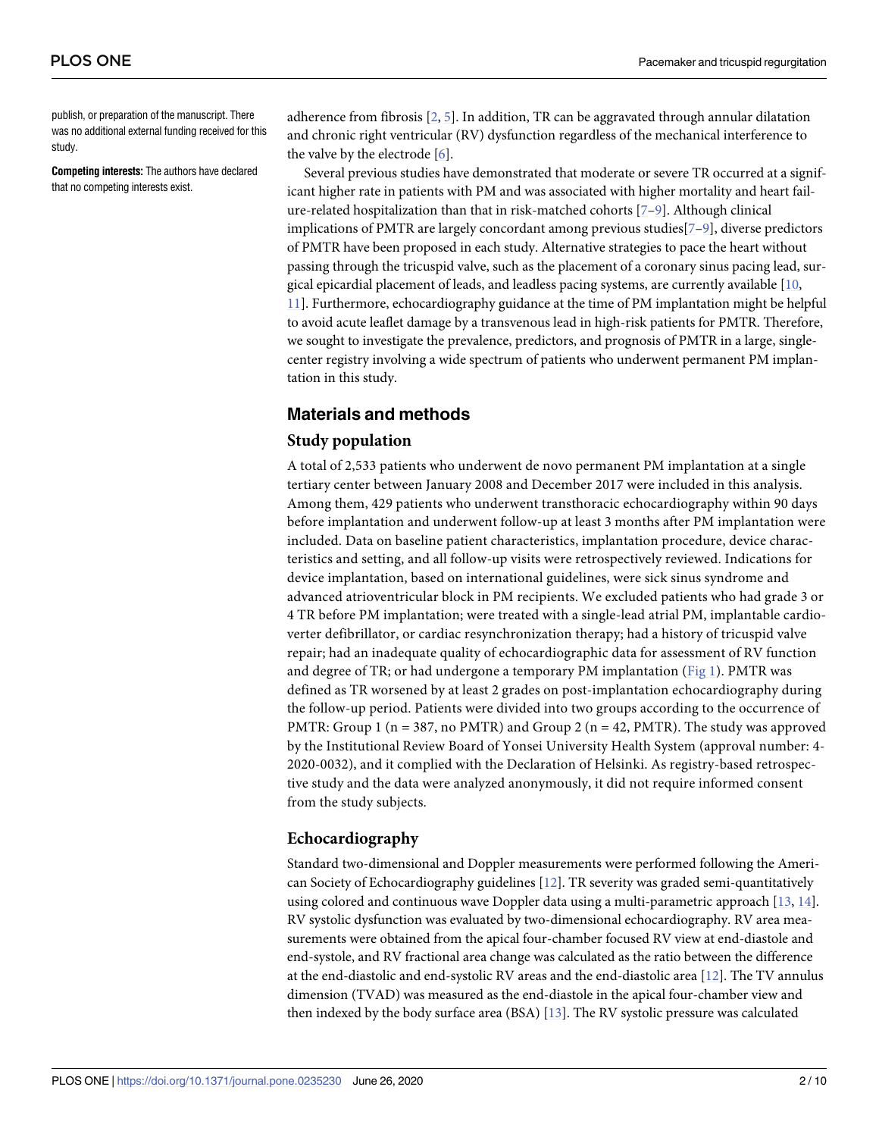<span id="page-1-0"></span>publish, or preparation of the manuscript. There was no additional external funding received for this study.

**Competing interests:** The authors have declared that no competing interests exist.

adherence from fibrosis [\[2,](#page-8-0) [5](#page-8-0)]. In addition, TR can be aggravated through annular dilatation and chronic right ventricular (RV) dysfunction regardless of the mechanical interference to the valve by the electrode [[6](#page-8-0)].

Several previous studies have demonstrated that moderate or severe TR occurred at a significant higher rate in patients with PM and was associated with higher mortality and heart failure-related hospitalization than that in risk-matched cohorts [[7](#page-8-0)[–9](#page-9-0)]. Although clinical implications of PMTR are largely concordant among previous studies[[7](#page-8-0)–[9](#page-9-0)], diverse predictors of PMTR have been proposed in each study. Alternative strategies to pace the heart without passing through the tricuspid valve, such as the placement of a coronary sinus pacing lead, surgical epicardial placement of leads, and leadless pacing systems, are currently available [\[10,](#page-9-0) [11\]](#page-9-0). Furthermore, echocardiography guidance at the time of PM implantation might be helpful to avoid acute leaflet damage by a transvenous lead in high-risk patients for PMTR. Therefore, we sought to investigate the prevalence, predictors, and prognosis of PMTR in a large, singlecenter registry involving a wide spectrum of patients who underwent permanent PM implantation in this study.

## **Materials and methods**

## **Study population**

A total of 2,533 patients who underwent de novo permanent PM implantation at a single tertiary center between January 2008 and December 2017 were included in this analysis. Among them, 429 patients who underwent transthoracic echocardiography within 90 days before implantation and underwent follow-up at least 3 months after PM implantation were included. Data on baseline patient characteristics, implantation procedure, device characteristics and setting, and all follow-up visits were retrospectively reviewed. Indications for device implantation, based on international guidelines, were sick sinus syndrome and advanced atrioventricular block in PM recipients. We excluded patients who had grade 3 or 4 TR before PM implantation; were treated with a single-lead atrial PM, implantable cardioverter defibrillator, or cardiac resynchronization therapy; had a history of tricuspid valve repair; had an inadequate quality of echocardiographic data for assessment of RV function and degree of TR; or had undergone a temporary PM implantation ( $Fig 1$  $Fig 1$ ). PMTR was defined as TR worsened by at least 2 grades on post-implantation echocardiography during the follow-up period. Patients were divided into two groups according to the occurrence of PMTR: Group 1 ( $n = 387$ , no PMTR) and Group 2 ( $n = 42$ , PMTR). The study was approved by the Institutional Review Board of Yonsei University Health System (approval number: 4- 2020-0032), and it complied with the Declaration of Helsinki. As registry-based retrospective study and the data were analyzed anonymously, it did not require informed consent from the study subjects.

## **Echocardiography**

Standard two-dimensional and Doppler measurements were performed following the American Society of Echocardiography guidelines [[12](#page-9-0)]. TR severity was graded semi-quantitatively using colored and continuous wave Doppler data using a multi-parametric approach [[13](#page-9-0), [14](#page-9-0)]. RV systolic dysfunction was evaluated by two-dimensional echocardiography. RV area measurements were obtained from the apical four-chamber focused RV view at end-diastole and end-systole, and RV fractional area change was calculated as the ratio between the difference at the end-diastolic and end-systolic RV areas and the end-diastolic area [\[12\]](#page-9-0). The TV annulus dimension (TVAD) was measured as the end-diastole in the apical four-chamber view and then indexed by the body surface area (BSA) [\[13\]](#page-9-0). The RV systolic pressure was calculated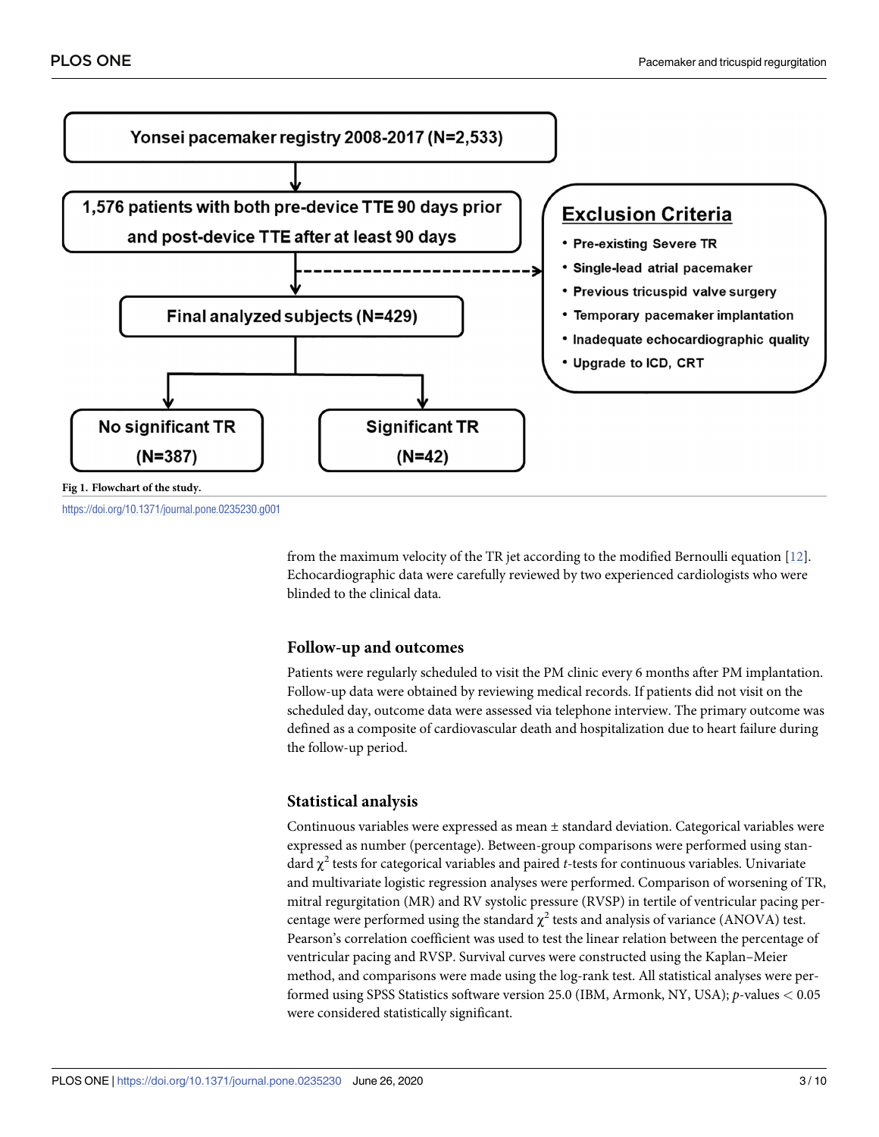<span id="page-2-0"></span>

<https://doi.org/10.1371/journal.pone.0235230.g001>

from the maximum velocity of the TR jet according to the modified Bernoulli equation [\[12\]](#page-9-0). Echocardiographic data were carefully reviewed by two experienced cardiologists who were blinded to the clinical data.

## **Follow-up and outcomes**

Patients were regularly scheduled to visit the PM clinic every 6 months after PM implantation. Follow-up data were obtained by reviewing medical records. If patients did not visit on the scheduled day, outcome data were assessed via telephone interview. The primary outcome was defined as a composite of cardiovascular death and hospitalization due to heart failure during the follow-up period.

## **Statistical analysis**

Continuous variables were expressed as mean  $\pm$  standard deviation. Categorical variables were expressed as number (percentage). Between-group comparisons were performed using standard  $\chi^2$  tests for categorical variables and paired *t*-tests for continuous variables. Univariate and multivariate logistic regression analyses were performed. Comparison of worsening of TR, mitral regurgitation (MR) and RV systolic pressure (RVSP) in tertile of ventricular pacing percentage were performed using the standard  $\chi^2$  tests and analysis of variance (ANOVA) test. Pearson's correlation coefficient was used to test the linear relation between the percentage of ventricular pacing and RVSP. Survival curves were constructed using the Kaplan–Meier method, and comparisons were made using the log-rank test. All statistical analyses were performed using SPSS Statistics software version 25.0 (IBM, Armonk, NY, USA); *p*-values *<* 0.05 were considered statistically significant.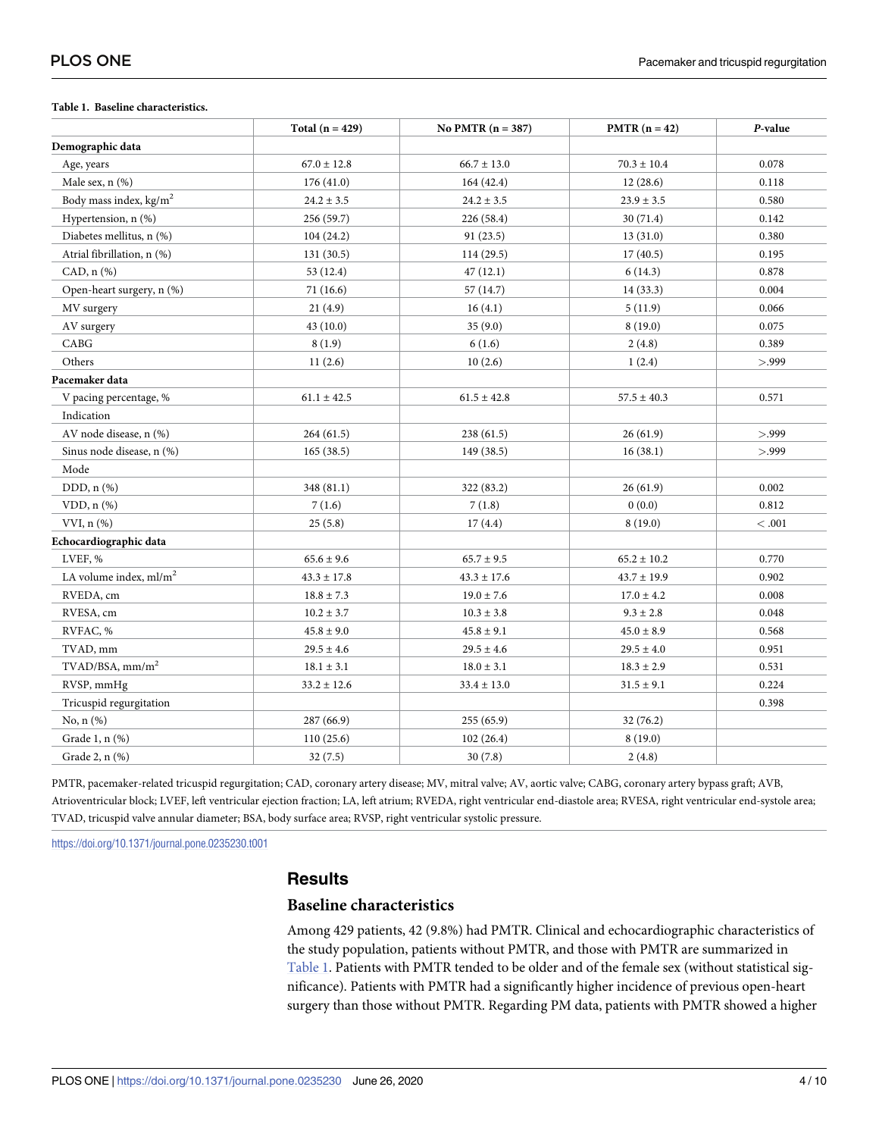#### **Table 1. Baseline characteristics.**

|                                | Total $(n = 429)$ | No PMTR $(n = 387)$ | $PMTR (n = 42)$ | P-value |
|--------------------------------|-------------------|---------------------|-----------------|---------|
| Demographic data               |                   |                     |                 |         |
| Age, years                     | $67.0 \pm 12.8$   | $66.7 \pm 13.0$     | $70.3 \pm 10.4$ | 0.078   |
| Male sex, n (%)                | 176 (41.0)        | 164 (42.4)          | 12(28.6)        | 0.118   |
| Body mass index, $kg/m2$       | $24.2 \pm 3.5$    | $24.2 \pm 3.5$      | $23.9 \pm 3.5$  | 0.580   |
| Hypertension, n (%)            | 256 (59.7)        | 226 (58.4)          | 30 (71.4)       | 0.142   |
| Diabetes mellitus, n (%)       | 104(24.2)         | 91 (23.5)           | 13(31.0)        | 0.380   |
| Atrial fibrillation, n (%)     | 131(30.5)         | 114 (29.5)          | 17(40.5)        | 0.195   |
| $CAD, n (\%)$                  | 53 (12.4)         | 47(12.1)            | 6(14.3)         | 0.878   |
| Open-heart surgery, n (%)      | 71 (16.6)         | 57 (14.7)           | 14(33.3)        | 0.004   |
| MV surgery                     | 21(4.9)           | 16(4.1)             | 5(11.9)         | 0.066   |
| AV surgery                     | 43(10.0)          | 35(9.0)             | 8(19.0)         | 0.075   |
| CABG                           | 8(1.9)            | 6(1.6)              | 2(4.8)          | 0.389   |
| Others                         | 11(2.6)           | 10(2.6)             | 1(2.4)          | > 999   |
| Pacemaker data                 |                   |                     |                 |         |
| V pacing percentage, %         | $61.1 \pm 42.5$   | $61.5 \pm 42.8$     | $57.5 \pm 40.3$ | 0.571   |
| Indication                     |                   |                     |                 |         |
| AV node disease, n (%)         | 264 (61.5)        | 238 (61.5)          | 26(61.9)        | > 0.999 |
| Sinus node disease, n (%)      | 165(38.5)         | 149 (38.5)          | 16(38.1)        | > 999   |
| Mode                           |                   |                     |                 |         |
| DDD, n (%)                     | 348 (81.1)        | 322 (83.2)          | 26(61.9)        | 0.002   |
| $VDD, n$ $(\%)$                | 7(1.6)            | 7(1.8)              | 0(0.0)          | 0.812   |
| $VVI, n(\%)$                   | 25(5.8)           | 17(4.4)             | 8(19.0)         | < 0.001 |
| Echocardiographic data         |                   |                     |                 |         |
| LVEF, %                        | $65.6 \pm 9.6$    | $65.7 \pm 9.5$      | $65.2 \pm 10.2$ | 0.770   |
| LA volume index, $ml/m2$       | $43.3 \pm 17.8$   | $43.3 \pm 17.6$     | $43.7 \pm 19.9$ | 0.902   |
| RVEDA, cm                      | $18.8 \pm 7.3$    | $19.0 \pm 7.6$      | $17.0 \pm 4.2$  | 0.008   |
| RVESA, cm                      | $10.2 \pm 3.7$    | $10.3 \pm 3.8$      | $9.3 \pm 2.8$   | 0.048   |
| RVFAC, %                       | $45.8 \pm 9.0$    | $45.8 \pm 9.1$      | $45.0 \pm 8.9$  | 0.568   |
| TVAD, mm                       | $29.5 \pm 4.6$    | $29.5 \pm 4.6$      | $29.5 \pm 4.0$  | 0.951   |
| $TVAD/BSA$ , mm/m <sup>2</sup> | $18.1 \pm 3.1$    | $18.0 \pm 3.1$      | $18.3 \pm 2.9$  | 0.531   |
| RVSP, mmHg                     | $33.2 \pm 12.6$   | $33.4 \pm 13.0$     | $31.5 \pm 9.1$  | 0.224   |
| Tricuspid regurgitation        |                   |                     |                 | 0.398   |
| No, $n$ $(\%)$                 | 287 (66.9)        | 255(65.9)           | 32 (76.2)       |         |
| Grade 1, n (%)                 | 110(25.6)         | 102(26.4)           | 8(19.0)         |         |
| Grade 2, n (%)                 | 32(7.5)           | 30(7.8)             | 2(4.8)          |         |

PMTR, pacemaker-related tricuspid regurgitation; CAD, coronary artery disease; MV, mitral valve; AV, aortic valve; CABG, coronary artery bypass graft; AVB, Atrioventricular block; LVEF, left ventricular ejection fraction; LA, left atrium; RVEDA, right ventricular end-diastole area; RVESA, right ventricular end-systole area; TVAD, tricuspid valve annular diameter; BSA, body surface area; RVSP, right ventricular systolic pressure.

<https://doi.org/10.1371/journal.pone.0235230.t001>

## **Results**

## **Baseline characteristics**

Among 429 patients, 42 (9.8%) had PMTR. Clinical and echocardiographic characteristics of the study population, patients without PMTR, and those with PMTR are summarized in Table 1. Patients with PMTR tended to be older and of the female sex (without statistical significance). Patients with PMTR had a significantly higher incidence of previous open-heart surgery than those without PMTR. Regarding PM data, patients with PMTR showed a higher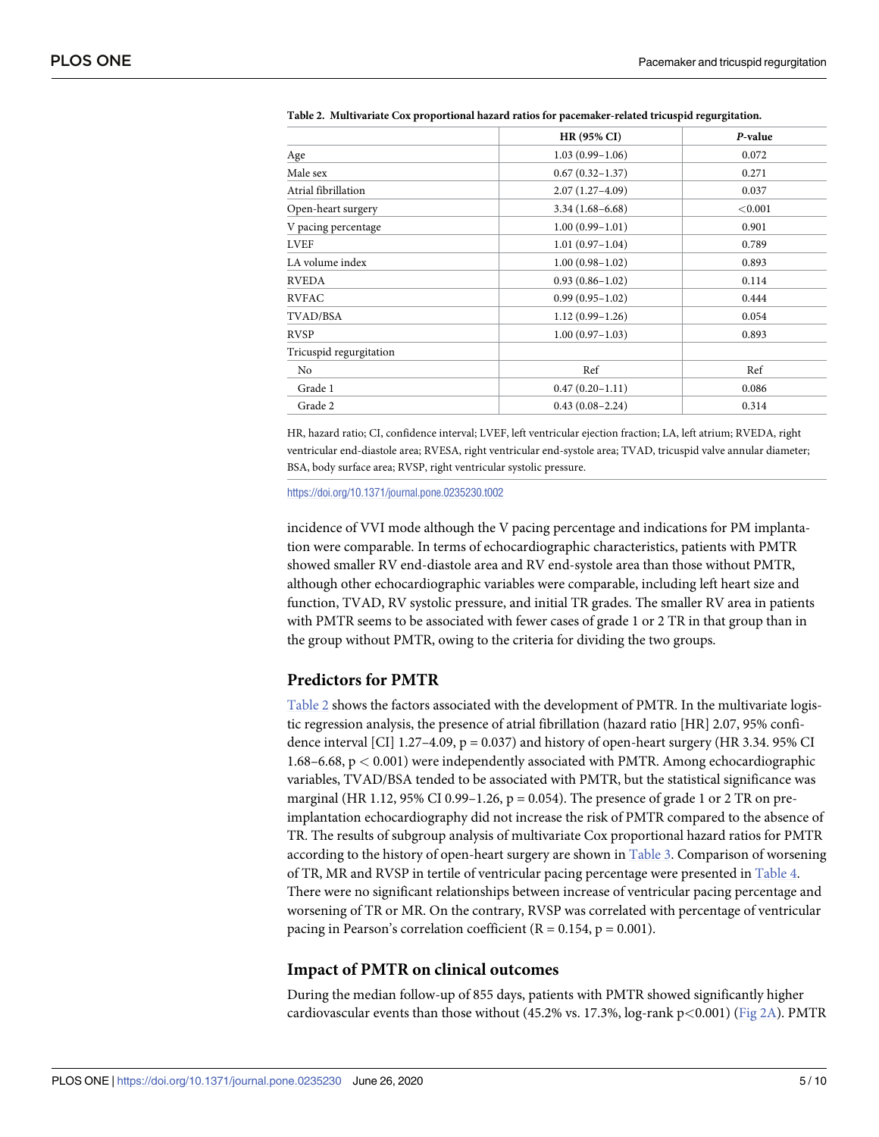|                         | <b>HR (95% CI)</b>  | P-value |
|-------------------------|---------------------|---------|
| Age                     | $1.03(0.99-1.06)$   | 0.072   |
| Male sex                | $0.67(0.32 - 1.37)$ | 0.271   |
| Atrial fibrillation     | $2.07(1.27 - 4.09)$ | 0.037   |
| Open-heart surgery      | $3.34(1.68 - 6.68)$ | < 0.001 |
| V pacing percentage     | $1.00(0.99 - 1.01)$ | 0.901   |
| <b>LVEF</b>             | $1.01(0.97-1.04)$   | 0.789   |
| LA volume index         | $1.00(0.98 - 1.02)$ | 0.893   |
| <b>RVEDA</b>            | $0.93(0.86 - 1.02)$ | 0.114   |
| <b>RVFAC</b>            | $0.99(0.95 - 1.02)$ | 0.444   |
| TVAD/BSA                | $1.12(0.99 - 1.26)$ | 0.054   |
| <b>RVSP</b>             | $1.00(0.97-1.03)$   | 0.893   |
| Tricuspid regurgitation |                     |         |
| N <sub>0</sub>          | Ref                 | Ref     |
| Grade 1                 | $0.47(0.20-1.11)$   | 0.086   |
| Grade 2                 | $0.43(0.08-2.24)$   | 0.314   |

<span id="page-4-0"></span>**Table 2. Multivariate Cox proportional hazard ratios for pacemaker-related tricuspid regurgitation.**

HR, hazard ratio; CI, confidence interval; LVEF, left ventricular ejection fraction; LA, left atrium; RVEDA, right ventricular end-diastole area; RVESA, right ventricular end-systole area; TVAD, tricuspid valve annular diameter; BSA, body surface area; RVSP, right ventricular systolic pressure.

<https://doi.org/10.1371/journal.pone.0235230.t002>

incidence of VVI mode although the V pacing percentage and indications for PM implantation were comparable. In terms of echocardiographic characteristics, patients with PMTR showed smaller RV end-diastole area and RV end-systole area than those without PMTR, although other echocardiographic variables were comparable, including left heart size and function, TVAD, RV systolic pressure, and initial TR grades. The smaller RV area in patients with PMTR seems to be associated with fewer cases of grade 1 or 2 TR in that group than in the group without PMTR, owing to the criteria for dividing the two groups.

## **Predictors for PMTR**

Table 2 shows the factors associated with the development of PMTR. In the multivariate logistic regression analysis, the presence of atrial fibrillation (hazard ratio [HR] 2.07, 95% confidence interval [CI]  $1.27-4.09$ ,  $p = 0.037$  and history of open-heart surgery (HR 3.34. 95% CI 1.68–6.68, p *<* 0.001) were independently associated with PMTR. Among echocardiographic variables, TVAD/BSA tended to be associated with PMTR, but the statistical significance was marginal (HR 1.12, 95% CI 0.99–1.26,  $p = 0.054$ ). The presence of grade 1 or 2 TR on preimplantation echocardiography did not increase the risk of PMTR compared to the absence of TR. The results of subgroup analysis of multivariate Cox proportional hazard ratios for PMTR according to the history of open-heart surgery are shown in [Table](#page-5-0) 3. Comparison of worsening of TR, MR and RVSP in tertile of ventricular pacing percentage were presented in [Table](#page-5-0) 4. There were no significant relationships between increase of ventricular pacing percentage and worsening of TR or MR. On the contrary, RVSP was correlated with percentage of ventricular pacing in Pearson's correlation coefficient ( $R = 0.154$ ,  $p = 0.001$ ).

## **Impact of PMTR on clinical outcomes**

During the median follow-up of 855 days, patients with PMTR showed significantly higher cardiovascular events than those without (45.2% vs. 17.3%, log-rank p*<*0.001) ([Fig](#page-6-0) 2A). PMTR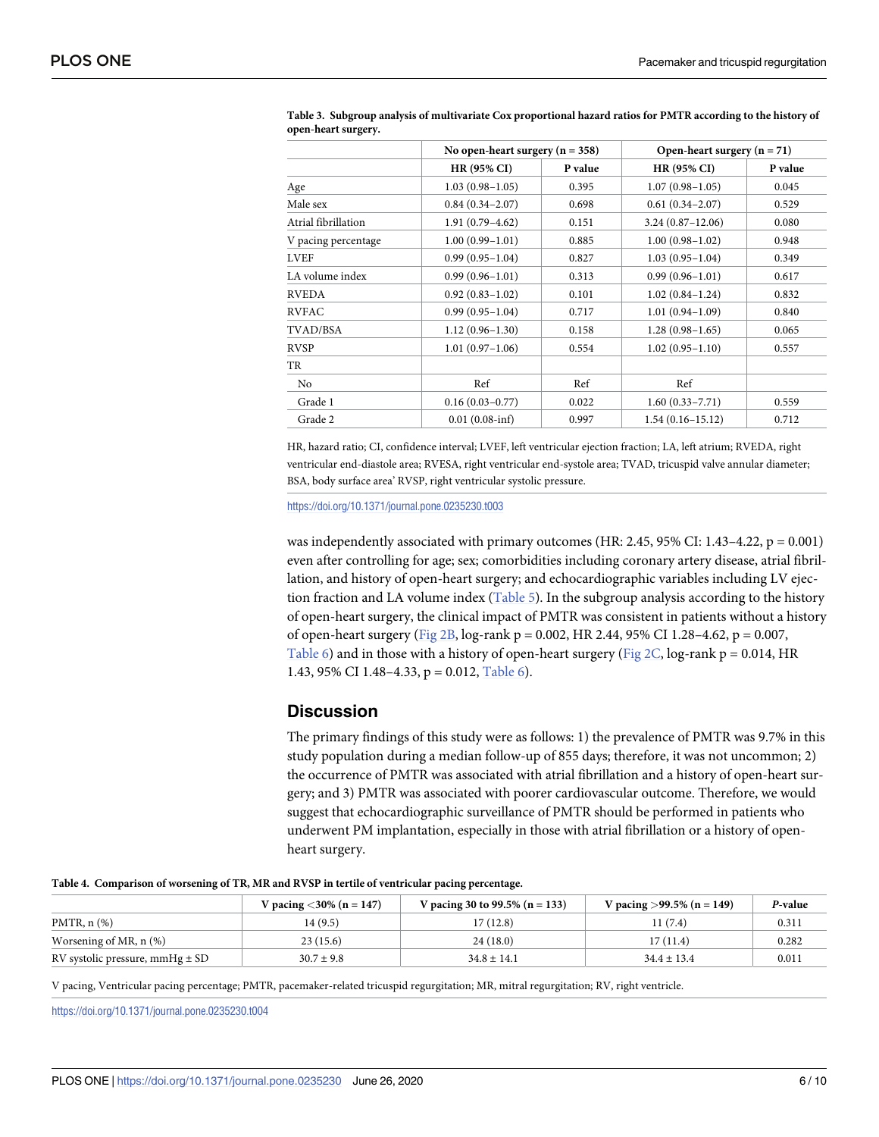|                     | No open-heart surgery ( $n = 358$ ) |         | Open-heart surgery $(n = 71)$ |         |
|---------------------|-------------------------------------|---------|-------------------------------|---------|
|                     | <b>HR (95% CI)</b>                  | P value | <b>HR (95% CI)</b>            | P value |
| Age                 | $1.03(0.98 - 1.05)$                 | 0.395   | $1.07(0.98 - 1.05)$           | 0.045   |
| Male sex            | $0.84(0.34 - 2.07)$                 | 0.698   | $0.61(0.34-2.07)$             | 0.529   |
| Atrial fibrillation | $1.91(0.79-4.62)$                   | 0.151   | $3.24(0.87 - 12.06)$          | 0.080   |
| V pacing percentage | $1.00(0.99 - 1.01)$                 | 0.885   | $1.00(0.98 - 1.02)$           | 0.948   |
| <b>LVEF</b>         | $0.99(0.95 - 1.04)$                 | 0.827   | $1.03(0.95-1.04)$             | 0.349   |
| LA volume index     | $0.99(0.96 - 1.01)$                 | 0.313   | $0.99(0.96 - 1.01)$           | 0.617   |
| <b>RVEDA</b>        | $0.92(0.83 - 1.02)$                 | 0.101   | $1.02(0.84 - 1.24)$           | 0.832   |
| <b>RVFAC</b>        | $0.99(0.95 - 1.04)$                 | 0.717   | $1.01(0.94-1.09)$             | 0.840   |
| TVAD/BSA            | $1.12(0.96 - 1.30)$                 | 0.158   | $1.28(0.98-1.65)$             | 0.065   |
| <b>RVSP</b>         | $1.01(0.97-1.06)$                   | 0.554   | $1.02(0.95 - 1.10)$           | 0.557   |
| TR                  |                                     |         |                               |         |
| No                  | Ref                                 | Ref     | Ref                           |         |
| Grade 1             | $0.16(0.03 - 0.77)$                 | 0.022   | $1.60(0.33 - 7.71)$           | 0.559   |
| Grade 2             | $0.01(0.08\text{-}inf)$             | 0.997   | $1.54(0.16 - 15.12)$          | 0.712   |

<span id="page-5-0"></span>[Table](#page-4-0) 3. Subgroup analysis of multivariate Cox proportional hazard ratios for PMTR according to the history of **open-heart surgery.**

HR, hazard ratio; CI, confidence interval; LVEF, left ventricular ejection fraction; LA, left atrium; RVEDA, right ventricular end-diastole area; RVESA, right ventricular end-systole area; TVAD, tricuspid valve annular diameter; BSA, body surface area' RVSP, right ventricular systolic pressure.

<https://doi.org/10.1371/journal.pone.0235230.t003>

was independently associated with primary outcomes (HR: 2.45, 95% CI: 1.43–4.22,  $p = 0.001$ ) even after controlling for age; sex; comorbidities including coronary artery disease, atrial fibrillation, and history of open-heart surgery; and echocardiographic variables including LV ejec-tion fraction and LA volume index ([Table](#page-6-0) 5). In the subgroup analysis according to the history of open-heart surgery, the clinical impact of PMTR was consistent in patients without a history of open-heart surgery ([Fig](#page-6-0) 2B, log-rank p = 0.002, HR 2.44, 95% CI 1.28–4.62, p = 0.007, [Table](#page-7-0) 6) and in those with a history of open-heart surgery [\(Fig](#page-6-0) 2C, log-rank  $p = 0.014$ , HR 1.43, 95% CI 1.48–4.33, p = 0.012, [Table](#page-7-0) 6).

## **Discussion**

The primary findings of this study were as follows: 1) the prevalence of PMTR was 9.7% in this study population during a median follow-up of 855 days; therefore, it was not uncommon; 2) the occurrence of PMTR was associated with atrial fibrillation and a history of open-heart surgery; and 3) PMTR was associated with poorer cardiovascular outcome. Therefore, we would suggest that echocardiographic surveillance of PMTR should be performed in patients who underwent PM implantation, especially in those with atrial fibrillation or a history of openheart surgery.

|  | Table 4. Comparison of worsening of TR, MR and RVSP in tertile of ventricular pacing percentage. |  |  |  |  |  |  |  |  |
|--|--------------------------------------------------------------------------------------------------|--|--|--|--|--|--|--|--|
|--|--------------------------------------------------------------------------------------------------|--|--|--|--|--|--|--|--|

|                                     | <i>V</i> pacing $<$ 30% (n = 147) | V pacing 30 to 99.5% (n = 133) | V pacing $>99.5\%$ (n = 149) | P-value |
|-------------------------------------|-----------------------------------|--------------------------------|------------------------------|---------|
| PMTR, $n$ $(\%)$                    | 14 (9.5)                          | 17 (12.8)                      | 11(7.4)                      | 0.311   |
| Worsening of MR, $n$ $%$            | 23(15.6)                          | 24(18.0)                       | 17(11.4)                     | 0.282   |
| RV systolic pressure, mmHg $\pm$ SD | $30.7 \pm 9.8$                    | $34.8 \pm 14.1$                | $34.4 \pm 13.4$              | 0.011   |

V pacing, Ventricular pacing percentage; PMTR, pacemaker-related tricuspid regurgitation; MR, mitral regurgitation; RV, right ventricle.

<https://doi.org/10.1371/journal.pone.0235230.t004>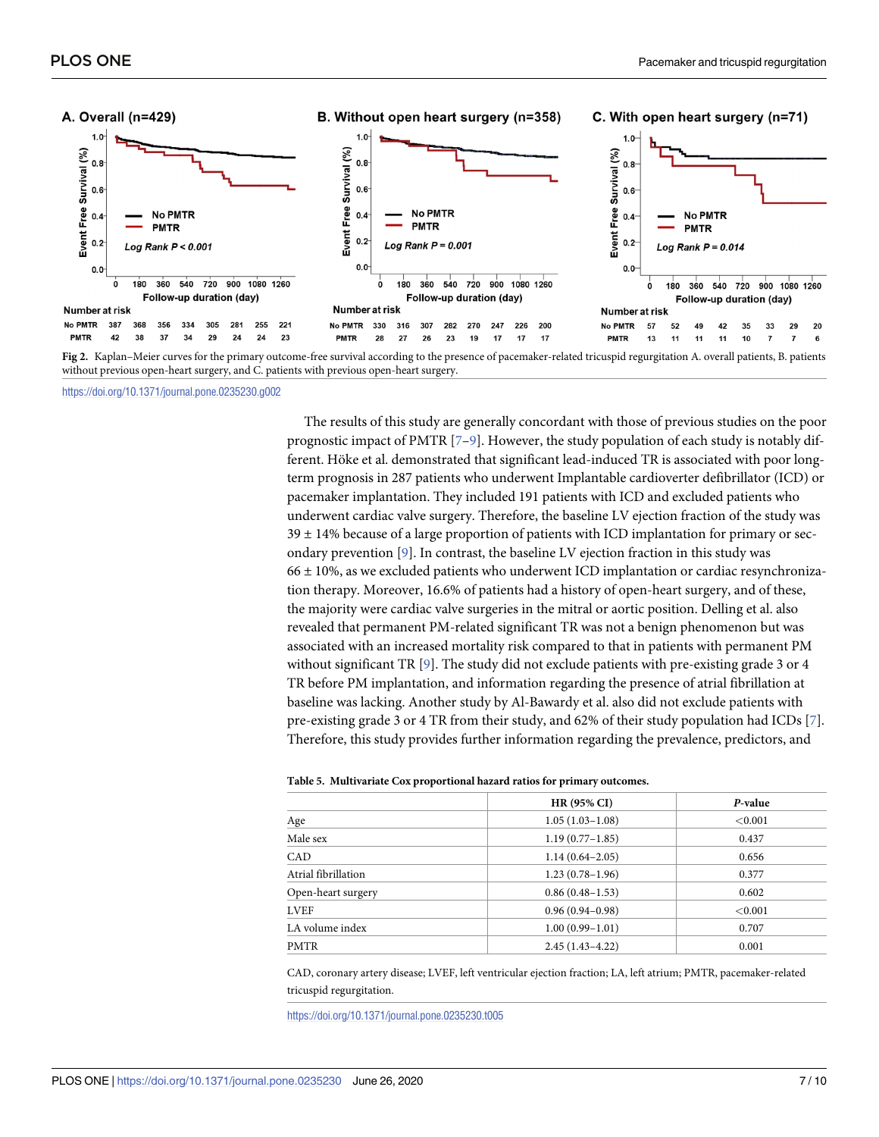<span id="page-6-0"></span>

**[Fig](#page-4-0) 2.** Kaplan–Meier curves for the primary outcome-free survival according to the presence of pacemaker-related tricuspid regurgitation A. overall patients, B. patients without previous open-heart surgery, and C. patients with previous open-heart surgery.

<https://doi.org/10.1371/journal.pone.0235230.g002>

The results of this study are generally concordant with those of previous studies on the poor prognostic impact of PMTR [\[7](#page-8-0)[–9\]](#page-9-0). However, the study population of each study is notably different. Höke et al. demonstrated that significant lead-induced TR is associated with poor longterm prognosis in 287 patients who underwent Implantable cardioverter defibrillator (ICD) or pacemaker implantation. They included 191 patients with ICD and excluded patients who underwent cardiac valve surgery. Therefore, the baseline LV ejection fraction of the study was  $39 \pm 14$ % because of a large proportion of patients with ICD implantation for primary or secondary prevention [[9\]](#page-9-0). In contrast, the baseline LV ejection fraction in this study was  $66 \pm 10$ %, as we excluded patients who underwent ICD implantation or cardiac resynchronization therapy. Moreover, 16.6% of patients had a history of open-heart surgery, and of these, the majority were cardiac valve surgeries in the mitral or aortic position. Delling et al. also revealed that permanent PM-related significant TR was not a benign phenomenon but was associated with an increased mortality risk compared to that in patients with permanent PM without significant TR  $[9]$ . The study did not exclude patients with pre-existing grade 3 or 4 TR before PM implantation, and information regarding the presence of atrial fibrillation at baseline was lacking. Another study by Al-Bawardy et al. also did not exclude patients with pre-existing grade 3 or 4 TR from their study, and 62% of their study population had ICDs [\[7\]](#page-8-0). Therefore, this study provides further information regarding the prevalence, predictors, and

#### **[Table](#page-5-0) 5. Multivariate Cox proportional hazard ratios for primary outcomes.**

|                     | <b>HR (95% CI)</b>  | P-value |
|---------------------|---------------------|---------|
| Age                 | $1.05(1.03-1.08)$   | < 0.001 |
| Male sex            | $1.19(0.77-1.85)$   | 0.437   |
| CAD                 | $1.14(0.64 - 2.05)$ | 0.656   |
| Atrial fibrillation | $1.23(0.78-1.96)$   | 0.377   |
| Open-heart surgery  | $0.86(0.48-1.53)$   | 0.602   |
| LVEF                | $0.96(0.94 - 0.98)$ | < 0.001 |
| LA volume index     | $1.00(0.99 - 1.01)$ | 0.707   |
| <b>PMTR</b>         | $2.45(1.43 - 4.22)$ | 0.001   |

CAD, coronary artery disease; LVEF, left ventricular ejection fraction; LA, left atrium; PMTR, pacemaker-related tricuspid regurgitation.

<https://doi.org/10.1371/journal.pone.0235230.t005>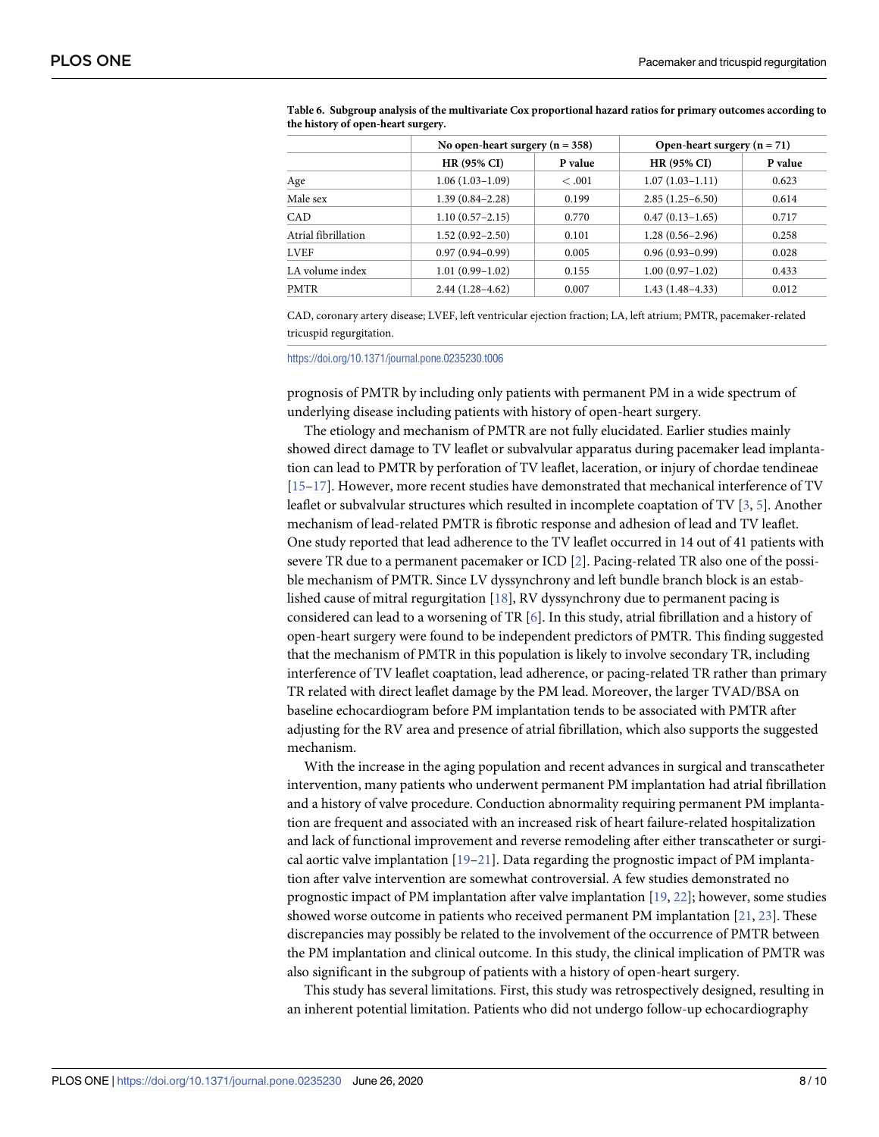|                     | No open-heart surgery $(n = 358)$ |         | Open-heart surgery $(n = 71)$ |         |  |
|---------------------|-----------------------------------|---------|-------------------------------|---------|--|
|                     | <b>HR (95% CI)</b>                | P value | HR (95% CI)                   | P value |  |
| Age                 | $1.06(1.03-1.09)$                 | <.001   | $1.07(1.03 - 1.11)$           | 0.623   |  |
| Male sex            | $1.39(0.84 - 2.28)$               | 0.199   | $2.85(1.25-6.50)$             | 0.614   |  |
| CAD                 | $1.10(0.57-2.15)$                 | 0.770   | $0.47(0.13 - 1.65)$           | 0.717   |  |
| Atrial fibrillation | $1.52(0.92 - 2.50)$               | 0.101   | $1.28(0.56 - 2.96)$           | 0.258   |  |
| <b>LVEF</b>         | $0.97(0.94 - 0.99)$               | 0.005   | $0.96(0.93 - 0.99)$           | 0.028   |  |
| LA volume index     | $1.01(0.99 - 1.02)$               | 0.155   | $1.00(0.97-1.02)$             | 0.433   |  |
| <b>PMTR</b>         | $2.44(1.28-4.62)$                 | 0.007   | $1.43(1.48-4.33)$             | 0.012   |  |

<span id="page-7-0"></span>**[Table](#page-5-0) 6. Subgroup analysis of the multivariate Cox proportional hazard ratios for primary outcomes according to the history of open-heart surgery.**

CAD, coronary artery disease; LVEF, left ventricular ejection fraction; LA, left atrium; PMTR, pacemaker-related tricuspid regurgitation.

<https://doi.org/10.1371/journal.pone.0235230.t006>

prognosis of PMTR by including only patients with permanent PM in a wide spectrum of underlying disease including patients with history of open-heart surgery.

The etiology and mechanism of PMTR are not fully elucidated. Earlier studies mainly showed direct damage to TV leaflet or subvalvular apparatus during pacemaker lead implantation can lead to PMTR by perforation of TV leaflet, laceration, or injury of chordae tendineae [\[15–17\]](#page-9-0). However, more recent studies have demonstrated that mechanical interference of TV leaflet or subvalvular structures which resulted in incomplete coaptation of TV [[3](#page-8-0), [5\]](#page-8-0). Another mechanism of lead-related PMTR is fibrotic response and adhesion of lead and TV leaflet. One study reported that lead adherence to the TV leaflet occurred in 14 out of 41 patients with severe TR due to a permanent pacemaker or ICD [[2\]](#page-8-0). Pacing-related TR also one of the possible mechanism of PMTR. Since LV dyssynchrony and left bundle branch block is an established cause of mitral regurgitation [\[18\]](#page-9-0), RV dyssynchrony due to permanent pacing is considered can lead to a worsening of TR [[6](#page-8-0)]. In this study, atrial fibrillation and a history of open-heart surgery were found to be independent predictors of PMTR. This finding suggested that the mechanism of PMTR in this population is likely to involve secondary TR, including interference of TV leaflet coaptation, lead adherence, or pacing-related TR rather than primary TR related with direct leaflet damage by the PM lead. Moreover, the larger TVAD/BSA on baseline echocardiogram before PM implantation tends to be associated with PMTR after adjusting for the RV area and presence of atrial fibrillation, which also supports the suggested mechanism.

With the increase in the aging population and recent advances in surgical and transcatheter intervention, many patients who underwent permanent PM implantation had atrial fibrillation and a history of valve procedure. Conduction abnormality requiring permanent PM implantation are frequent and associated with an increased risk of heart failure-related hospitalization and lack of functional improvement and reverse remodeling after either transcatheter or surgical aortic valve implantation [\[19–21](#page-9-0)]. Data regarding the prognostic impact of PM implantation after valve intervention are somewhat controversial. A few studies demonstrated no prognostic impact of PM implantation after valve implantation [\[19,](#page-9-0) [22\]](#page-9-0); however, some studies showed worse outcome in patients who received permanent PM implantation [\[21,](#page-9-0) [23\]](#page-9-0). These discrepancies may possibly be related to the involvement of the occurrence of PMTR between the PM implantation and clinical outcome. In this study, the clinical implication of PMTR was also significant in the subgroup of patients with a history of open-heart surgery.

This study has several limitations. First, this study was retrospectively designed, resulting in an inherent potential limitation. Patients who did not undergo follow-up echocardiography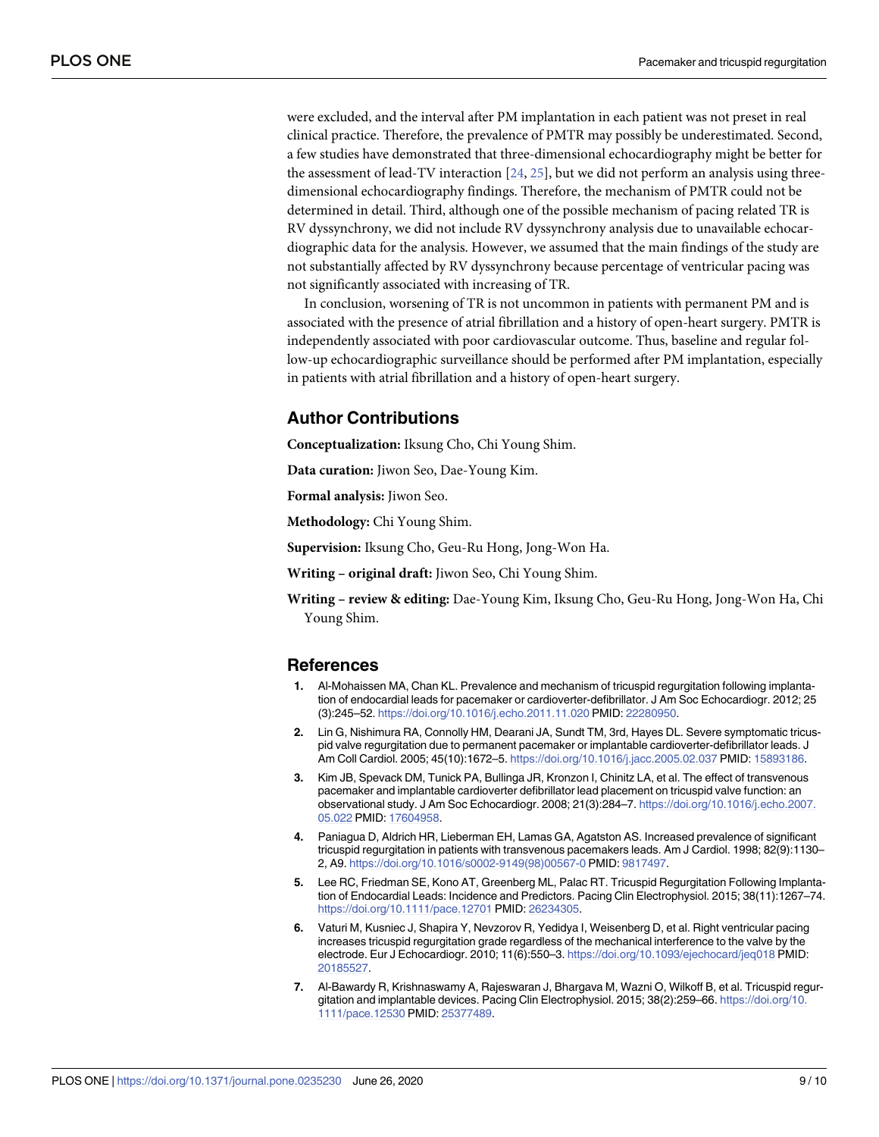<span id="page-8-0"></span>were excluded, and the interval after PM implantation in each patient was not preset in real clinical practice. Therefore, the prevalence of PMTR may possibly be underestimated. Second, a few studies have demonstrated that three-dimensional echocardiography might be better for the assessment of lead-TV interaction  $[24, 25]$  $[24, 25]$  $[24, 25]$  $[24, 25]$ , but we did not perform an analysis using threedimensional echocardiography findings. Therefore, the mechanism of PMTR could not be determined in detail. Third, although one of the possible mechanism of pacing related TR is RV dyssynchrony, we did not include RV dyssynchrony analysis due to unavailable echocardiographic data for the analysis. However, we assumed that the main findings of the study are not substantially affected by RV dyssynchrony because percentage of ventricular pacing was not significantly associated with increasing of TR.

In conclusion, worsening of TR is not uncommon in patients with permanent PM and is associated with the presence of atrial fibrillation and a history of open-heart surgery. PMTR is independently associated with poor cardiovascular outcome. Thus, baseline and regular follow-up echocardiographic surveillance should be performed after PM implantation, especially in patients with atrial fibrillation and a history of open-heart surgery.

## **Author Contributions**

**Conceptualization:** Iksung Cho, Chi Young Shim.

**Data curation:** Jiwon Seo, Dae-Young Kim.

**Formal analysis:** Jiwon Seo.

**Methodology:** Chi Young Shim.

**Supervision:** Iksung Cho, Geu-Ru Hong, Jong-Won Ha.

**Writing – original draft:** Jiwon Seo, Chi Young Shim.

**Writing – review & editing:** Dae-Young Kim, Iksung Cho, Geu-Ru Hong, Jong-Won Ha, Chi Young Shim.

#### **References**

- **[1](#page-0-0).** Al-Mohaissen MA, Chan KL. Prevalence and mechanism of tricuspid regurgitation following implantation of endocardial leads for pacemaker or cardioverter-defibrillator. J Am Soc Echocardiogr. 2012; 25 (3):245–52. <https://doi.org/10.1016/j.echo.2011.11.020> PMID: [22280950](http://www.ncbi.nlm.nih.gov/pubmed/22280950).
- **[2](#page-0-0).** Lin G, Nishimura RA, Connolly HM, Dearani JA, Sundt TM, 3rd, Hayes DL. Severe symptomatic tricuspid valve regurgitation due to permanent pacemaker or implantable cardioverter-defibrillator leads. J Am Coll Cardiol. 2005; 45(10):1672–5. <https://doi.org/10.1016/j.jacc.2005.02.037> PMID: [15893186](http://www.ncbi.nlm.nih.gov/pubmed/15893186).
- **[3](#page-0-0).** Kim JB, Spevack DM, Tunick PA, Bullinga JR, Kronzon I, Chinitz LA, et al. The effect of transvenous pacemaker and implantable cardioverter defibrillator lead placement on tricuspid valve function: an observational study. J Am Soc Echocardiogr. 2008; 21(3):284–7. [https://doi.org/10.1016/j.echo.2007.](https://doi.org/10.1016/j.echo.2007.05.022) [05.022](https://doi.org/10.1016/j.echo.2007.05.022) PMID: [17604958.](http://www.ncbi.nlm.nih.gov/pubmed/17604958)
- **[4](#page-0-0).** Paniagua D, Aldrich HR, Lieberman EH, Lamas GA, Agatston AS. Increased prevalence of significant tricuspid regurgitation in patients with transvenous pacemakers leads. Am J Cardiol. 1998; 82(9):1130– 2, A9. [https://doi.org/10.1016/s0002-9149\(98\)00567-0](https://doi.org/10.1016/s0002-9149(98)00567-0) PMID: [9817497](http://www.ncbi.nlm.nih.gov/pubmed/9817497).
- **[5](#page-1-0).** Lee RC, Friedman SE, Kono AT, Greenberg ML, Palac RT. Tricuspid Regurgitation Following Implantation of Endocardial Leads: Incidence and Predictors. Pacing Clin Electrophysiol. 2015; 38(11):1267–74. <https://doi.org/10.1111/pace.12701> PMID: [26234305](http://www.ncbi.nlm.nih.gov/pubmed/26234305).
- **[6](#page-1-0).** Vaturi M, Kusniec J, Shapira Y, Nevzorov R, Yedidya I, Weisenberg D, et al. Right ventricular pacing increases tricuspid regurgitation grade regardless of the mechanical interference to the valve by the electrode. Eur J Echocardiogr. 2010; 11(6):550–3. <https://doi.org/10.1093/ejechocard/jeq018> PMID: [20185527](http://www.ncbi.nlm.nih.gov/pubmed/20185527).
- **[7](#page-1-0).** Al-Bawardy R, Krishnaswamy A, Rajeswaran J, Bhargava M, Wazni O, Wilkoff B, et al. Tricuspid regurgitation and implantable devices. Pacing Clin Electrophysiol. 2015; 38(2):259–66. [https://doi.org/10.](https://doi.org/10.1111/pace.12530) [1111/pace.12530](https://doi.org/10.1111/pace.12530) PMID: [25377489.](http://www.ncbi.nlm.nih.gov/pubmed/25377489)